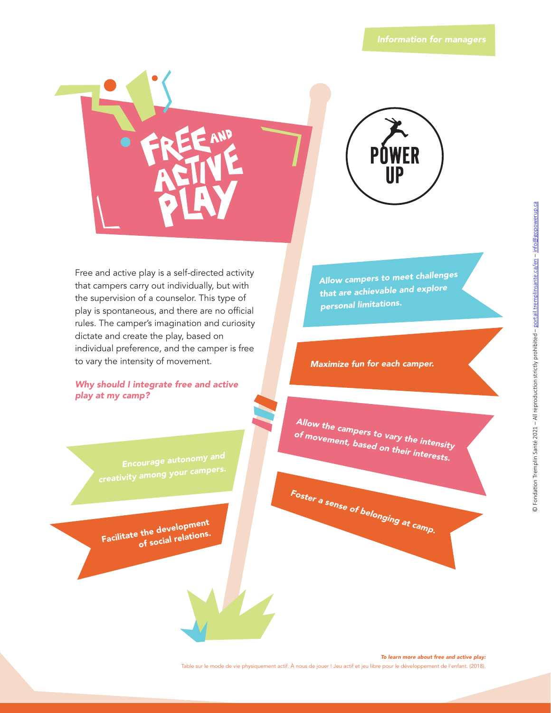

Free and active play is a self-directed activity that campers carry out individually, but with the supervision of a counselor. This type of play is spontaneous, and there are no official rules. The camper's imagination and curiosity dictate and create the play, based on individual preference, and the camper is free to vary the intensity of movement.

*Why should I integrate free and active play at my camp?*

> *Encourage autonomy and creativity among your campers.*

**Facilitate the development of social relations.** *Allow campers to meet challenges that are achievable and explore persona<sup>l</sup> limitations.*

*Maximize fun for each camper.*

*Allow the campers to vary the intensity of movement, based on their interests.*

*Foster <sup>a</sup> sense of belonging at camp.*

*To learn more about free and active play:*

Table sur le mode de vie physiquement actif. À nous de jouer ! Jeu actif et jeu libre pour le développement de l'enfant. (2018).